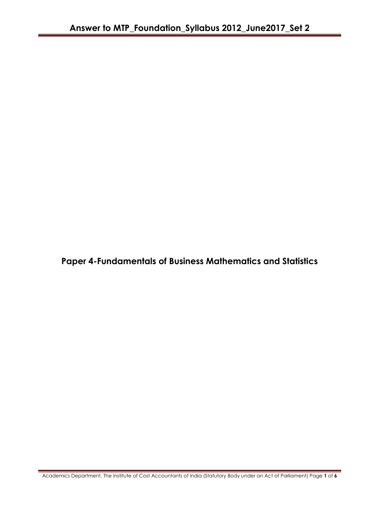**Paper 4-Fundamentals of Business Mathematics and Statistics**

Academics Department, The Institute of Cost Accountants of India (Statutory Body under an Act of Parliament) Page **1** of **6**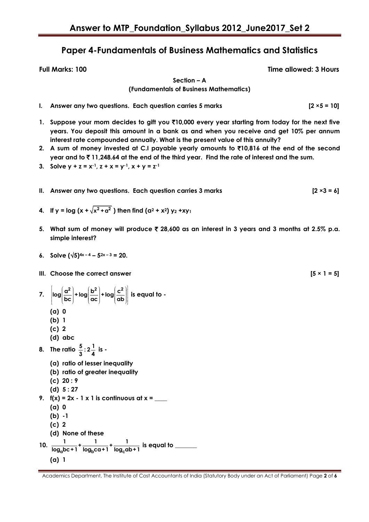## **Paper 4-Fundamentals of Business Mathematics and Statistics**

**Full Marks: 100 Time allowed: 3 Hours**

**Section – A (Fundamentals of Business Mathematics)**

- **I. Answer any two questions. Each question carries 5 marks [2 ×5 = 10]**
- **1. Suppose your mom decides to gift you** `**10,000 every year starting from today for the next five years. You deposit this amount in a bank as and when you receive and get 10% per annum interest rate compounded annually. What is the present value of this annuity?**
- **2. A sum of money invested at C.I payable yearly amounts to** `**10,816 at the end of the second year and to** ` **11,248.64 at the end of the third year. Find the rate of interest and the sum.**
- **3. Solve y + z =**  $x^{-1}$ **, z + x =**  $y^{-1}$ **, x + y =**  $z^{-1}$
- **II. Answer any two questions. Each question carries 3 marks [2 ×3 = 6]**
- **4.** If y = log (x +  $\sqrt{x^2 + a^2}$  ) then find (a<sup>2</sup> + x<sup>2</sup>) y<sub>2</sub> +xy<sub>1</sub>
- **5. What sum of money will produce** ` **28,600 as an interest in 3 years and 3 months at 2.5% p.a. simple interest?**
- **6. Solve**  $(\sqrt{5})^{4x-4} 5^{2x-3} = 20$ .
- **III.** Choose the correct answer  $[5 \times 1 = 5]$
- **7.**  $\left[\log\left(\frac{\alpha^2}{bc}\right)+\log\left(\frac{b^2}{ac}\right)+\log\left(\frac{c^2}{ab}\right)\right]$  is equal to -
	- **(a) 0**
	- **(b) 1**
	- **(c) 2**
	- **(d) abc**
- **8.** The ratio  $\frac{5}{3}$  :  $2\frac{1}{4}$  is -
	- **(a) ratio of lesser inequality**
	- **(b) ratio of greater inequality**
	- **(c) 20 : 9**
	- **(d) 5 : 27**
- **9.**  $f(x) = 2x 1 \times 1$  is continuous at  $x =$ 
	- **(a) 0**
	- **(b) -1**
	- **(c) 2**
	- **(d) None of these**
- 10.  $\frac{1}{\log_a bc + 1} + \frac{1}{\log_b ca + 1} + \frac{1}{\log_c ba + 1}$ **1 1 1 + + log bc+1 log ca+1 log ab+1 is equal to \_\_\_\_\_\_\_ (a) 1**

Academics Department, The Institute of Cost Accountants of India (Statutory Body under an Act of Parliament) Page **2** of **6**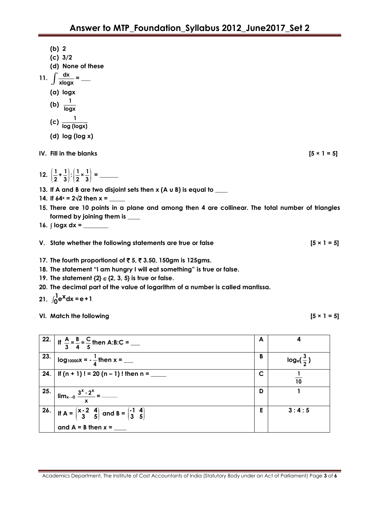|     | (b) 2<br>$(c)$ 3/2<br>(d) None of these<br>11. $\int \frac{dx}{x \log x} =$ —<br>(a) logx<br>(b) $\frac{1}{\log x}$<br>(c) $\frac{1}{\log{(\log{x})}}$<br>$(d)$ log (log x)                                                                                                                                            |   |                      |
|-----|------------------------------------------------------------------------------------------------------------------------------------------------------------------------------------------------------------------------------------------------------------------------------------------------------------------------|---|----------------------|
|     | IV. Fill in the blanks                                                                                                                                                                                                                                                                                                 |   | $[5 \times 1 = 5]$   |
|     |                                                                                                                                                                                                                                                                                                                        |   |                      |
|     | 13. If A and B are two disjoint sets then $x$ (A $u$ B) is equal to ___                                                                                                                                                                                                                                                |   |                      |
|     | 14. If $64^x = 2\sqrt{2}$ then $x =$ _______<br>15. There are 10 points in a plane and among then 4 are collinear. The total number of triangles<br>formed by joining them is ____                                                                                                                                     |   |                      |
|     | 16. $\int$ logx dx = _______                                                                                                                                                                                                                                                                                           |   |                      |
|     | V. State whether the following statements are true or false                                                                                                                                                                                                                                                            |   | $[5 \times 1 = 5]$   |
|     | 17. The fourth proportional of ₹5, ₹3.50, 150gm is 125gms.<br>18. The statement "I am hungry I will eat something" is true or false.<br>19. The statement $\{2\} \in \{2, 3, 5\}$ is true or false.<br>20. The decimal part of the value of logarithm of a number is called mantissa.<br>21. $\int_0^1 e^x dx = e + 1$ |   |                      |
|     | VI. Match the following                                                                                                                                                                                                                                                                                                |   | $[5 \times 1 = 5]$   |
| 22. | If $\frac{A}{3} = \frac{B}{4} = \frac{C}{5}$ then A:B:C =                                                                                                                                                                                                                                                              | A | 4                    |
| 23. |                                                                                                                                                                                                                                                                                                                        | B | $log_e(\frac{3}{2})$ |

Academics Department, The Institute of Cost Accountants of India (Statutory Body under an Act of Parliament) Page **3** of **6**

**24. If (n + 1) ! = 20 (n – 1) ! then n = \_\_\_\_\_ C**

**25.**

**26.**

 $\lim_{x\to 0} \frac{3^x \cdot 2^x}{x}$ 

If  $A = \begin{pmatrix} x-2 & 4 \\ 3 & 5 \end{pmatrix}$ **x-2 4**

**and A = B then** *x* **= \_\_\_\_**

**x = \_\_\_\_\_\_\_\_**

 $\begin{bmatrix} -2 & 4 \\ 3 & 5 \end{bmatrix}$  and B =  $\begin{bmatrix} -1 & 4 \\ 3 & 5 \end{bmatrix}$ 

**-1 4 3 5**

**1 10**

**D 1**

**E 3 : 4 : 5**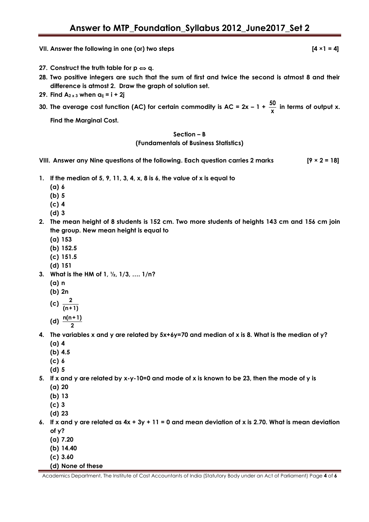**VII. Answer the following in one (or) two steps [4 ×1 = 4]** 

- **27.** Construct the truth table for  $p \Leftrightarrow q$ .
- **28. Two positive integers are such that the sum of first and twice the second is atmost 8 and their difference is atmost 2. Draw the graph of solution set.**
- **29. Find A2 x 3 when aij = i + 2j**
- **30. The average cost function (AC) for certain commodity is AC = 2x – 1 + 50**  $\frac{30}{x}$  in terms of output x.

**Find the Marginal Cost.**

## **Section – B**

## **(Fundamentals of Business Statistics)**

- **VIII. Answer any Nine questions of the following. Each question carries 2 marks [9 × 2 = 18]**
- **1. If the median of 5, 9, 11, 3, 4, x, 8 is 6, the value of x is equal to** 
	- **(a) 6**
	- **(b) 5**
	- **(c) 4**
	- **(d) 3**
- **2. The mean height of 8 students is 152 cm. Two more students of heights 143 cm and 156 cm join the group. New mean height is equal to**
	- **(a) 153**
	- **(b) 152.5**
	- **(c) 151.5**
	- **(d) 151**
- **3. What is the HM of 1, ½, 1/3, …. 1/n?**
	- **(a) n**
	- **(b) 2n**
	- (c)  $\frac{2}{\epsilon}$
	- **(n+1) (d) n(n+1)**
	- **2**
- **4. The variables x and y are related by 5x+6y=70 and median of x is 8. What is the median of y?**
	- **(a) 4**
	- **(b) 4.5**
	- **(c) 6 (d) 5**
- **5. If x and y are related by x-y-10=0 and mode of x is known to be 23, then the mode of y is**
	- **(a) 20**
	- **(b) 13**
	- **(c) 3**
	- **(d) 23**
- **6. If x and y are related as 4x + 3y + 11 = 0 and mean deviation of x is 2.70. What is mean deviation of y?**
	- **(a) 7.20**
	- **(b) 14.40**
	- **(c) 3.60**
	- **(d) None of these**

Academics Department, The Institute of Cost Accountants of India (Statutory Body under an Act of Parliament) Page **4** of **6**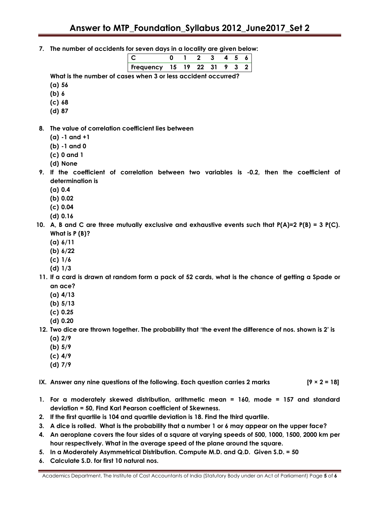**7. The number of accidents for seven days in a locality are given below:**

| 19 22 |              |  |     |  |  |
|-------|--------------|--|-----|--|--|
|       | Frequency 15 |  | -31 |  |  |

**What is the number of cases when 3 or less accident occurred?**

- **(a) 56**
- **(b) 6**
- **(c) 68**
- **(d) 87**
- **8. The value of correlation coefficient lies between**
	- **(a) -1 and +1**
	- **(b) -1 and 0**
	- **(c) 0 and 1**
	- **(d) None**
- **9. If the coefficient of correlation between two variables is -0.2, then the coefficient of determination is**
	- **(a) 0.4**
	- **(b) 0.02**
	- **(c) 0.04**
	- **(d) 0.16**
- **10. A, B and C are three mutually exclusive and exhaustive events such that P(A)=2 P(B) = 3 P(C). What is P (B)?**
	- **(a) 6/11**
	- **(b) 6/22**
	- **(c) 1/6**
	- **(d) 1/3**
- **11. If a card is drawn at random form a pack of 52 cards, what is the chance of getting a Spade or an ace?**
	- **(a) 4/13**
	- **(b) 5/13**
	- **(c) 0.25**
	- **(d) 0.20**
- **12. Two dice are thrown together. The probability that "the event the difference of nos. shown is 2" is (a) 2/9**
	- **(b) 5/9**
	- **(c) 4/9**
	- **(d) 7/9**

**IX. Answer any nine questions of the following. Each question carries 2 marks [9 × 2 = 18]**

- **1. For a moderately skewed distribution, arithmetic mean = 160, mode = 157 and standard deviation = 50, Find Karl Pearson coefficient of Skewness.**
- **2. If the first quartile is 104 and quartile deviation is 18. Find the third quartile.**
- **3. A dice is rolled. What is the probability that a number 1 or 6 may appear on the upper face?**
- **4. An aeroplane covers the four sides of a square at varying speeds of 500, 1000, 1500, 2000 km per hour respectively. What in the average speed of the plane around the square.**
- **5. In a Moderately Asymmetrical Distribution. Compute M.D. and Q.D. Given S.D. = 50**
- **6. Calculate S.D. for first 10 natural nos.**

Academics Department, The Institute of Cost Accountants of India (Statutory Body under an Act of Parliament) Page **5** of **6**